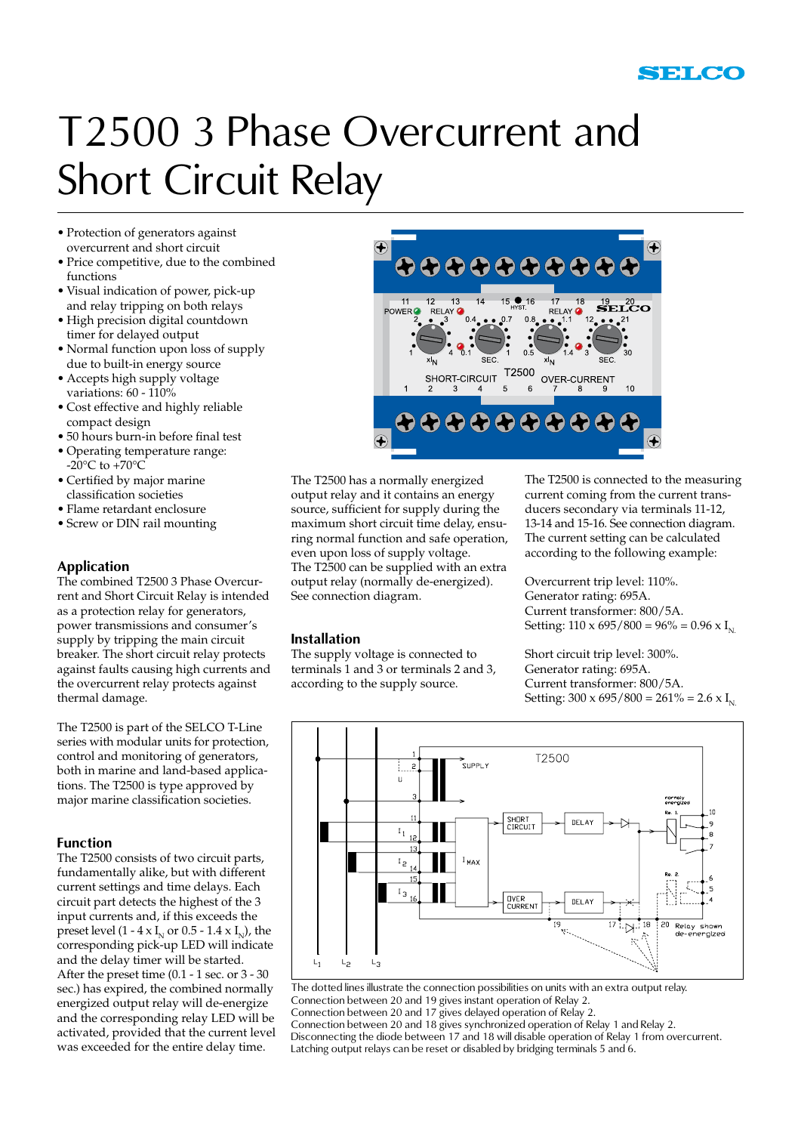

## T2500 3 Phase Overcurrent and Short Circuit Relay

- Protection of generators against overcurrent and short circuit
- • Price competitive, due to the combined functions
- • Visual indication of power, pick-up and relay tripping on both relays
- High precision digital countdown timer for delayed output
- Normal function upon loss of supply due to built-in energy source
- • Accepts high supply voltage variations: 60 - 110%
- • Cost effective and highly reliable compact design
- • 50 hours burn-in before final test
- • Operating temperature range: -20 $\rm{^{\circ}C}$  to +70 $\rm{^{\circ}C}$
- • Certified by major marine classification societies
- • Flame retardant enclosure
- • Screw or DIN rail mounting

#### **Application**

The combined T2500 3 Phase Overcurrent and Short Circuit Relay is intended as a protection relay for generators, power transmissions and consumer's supply by tripping the main circuit breaker. The short circuit relay protects against faults causing high currents and the overcurrent relay protects against thermal damage.

The T2500 is part of the SELCO T-Line series with modular units for protection, control and monitoring of generators, both in marine and land-based applications. The T2500 is type approved by major marine classification societies.

#### **Function**

The T2500 consists of two circuit parts, fundamentally alike, but with different current settings and time delays. Each circuit part detects the highest of the 3 input currents and, if this exceeds the preset level (1 - 4 x I<sub>N</sub> or 0.5 - 1.4 x I<sub>N</sub>), the corresponding pick-up LED will indicate and the delay timer will be started. After the preset time (0.1 - 1 sec. or 3 - 30 sec.) has expired, the combined normally energized output relay will de-energize and the corresponding relay LED will be activated, provided that the current level was exceeded for the entire delay time.



The T2500 has a normally energized output relay and it contains an energy source, sufficient for supply during the maximum short circuit time delay, ensuring normal function and safe operation, even upon loss of supply voltage. The T2500 can be supplied with an extra output relay (normally de-energized). See connection diagram.

#### **Installation**

The supply voltage is connected to terminals 1 and 3 or terminals 2 and 3, according to the supply source.

The T2500 is connected to the measuring current coming from the current transducers secondary via terminals 11-12, 13-14 and 15-16. See connection diagram. The current setting can be calculated according to the following example:

Overcurrent trip level: 110%. Generator rating: 695A. Current transformer: 800/5A. Setting:  $110 \times 695 / 800 = 96\% = 0.96 \times I_{N}$ 

Short circuit trip level: 300%. Generator rating: 695A. Current transformer: 800/5A. Setting:  $300 \times 695 / 800 = 261\% = 2.6 \times I_{N}$ 



The dotted lines illustrate the connection possibilities on units with an extra output relay. Connection between 20 and 19 gives instant operation of Relay 2. Connection between 20 and 17 gives delayed operation of Relay 2. Connection between 20 and 18 gives synchronized operation of Relay 1 and Relay 2. Disconnecting the diode between 17 and 18 will disable operation of Relay 1 from overcurrent. Latching output relays can be reset or disabled by bridging terminals 5 and 6.